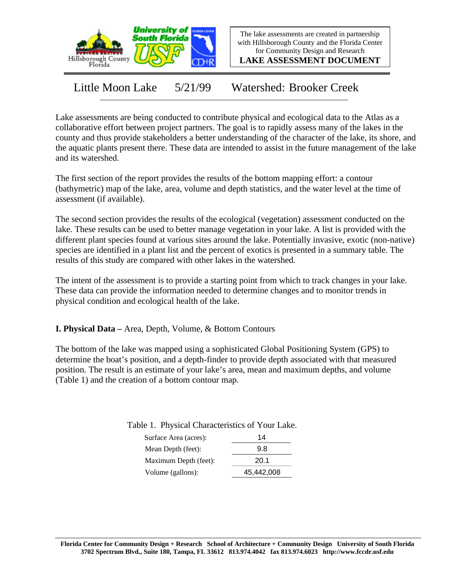

The lake assessments are created in partnership with Hillsborough County and the Florida Center for Community Design and Research

**LAKE ASSESSMENT DOCUMENT**

Little Moon Lake 5/21/99 Watershed: Brooker Creek

Lake assessments are being conducted to contribute physical and ecological data to the Atlas as a collaborative effort between project partners. The goal is to rapidly assess many of the lakes in the county and thus provide stakeholders a better understanding of the character of the lake, its shore, and the aquatic plants present there. These data are intended to assist in the future management of the lake and its watershed.

The first section of the report provides the results of the bottom mapping effort: a contour (bathymetric) map of the lake, area, volume and depth statistics, and the water level at the time of assessment (if available).

The second section provides the results of the ecological (vegetation) assessment conducted on the lake. These results can be used to better manage vegetation in your lake. A list is provided with the different plant species found at various sites around the lake. Potentially invasive, exotic (non-native) species are identified in a plant list and the percent of exotics is presented in a summary table. The results of this study are compared with other lakes in the watershed.

The intent of the assessment is to provide a starting point from which to track changes in your lake. These data can provide the information needed to determine changes and to monitor trends in physical condition and ecological health of the lake.

**I. Physical Data –** Area, Depth, Volume, & Bottom Contours

The bottom of the lake was mapped using a sophisticated Global Positioning System (GPS) to determine the boat's position, and a depth-finder to provide depth associated with that measured position. The result is an estimate of your lake's area, mean and maximum depths, and volume (Table 1) and the creation of a bottom contour map.

| Surface Area (acres): | 14         |
|-----------------------|------------|
| Mean Depth (feet):    | 9.8        |
| Maximum Depth (feet): | 20.1       |
| Volume (gallons):     | 45,442,008 |

Table 1. Physical Characteristics of Your Lake.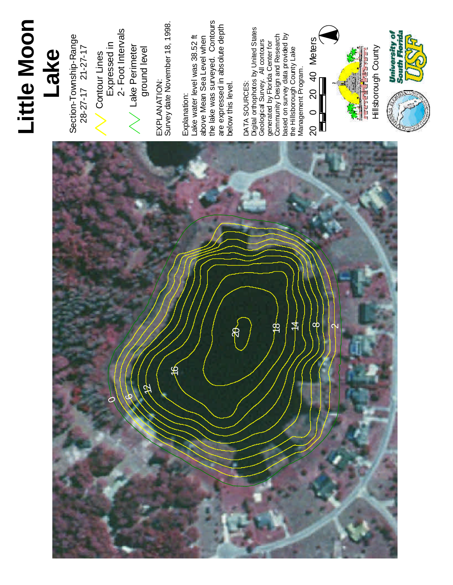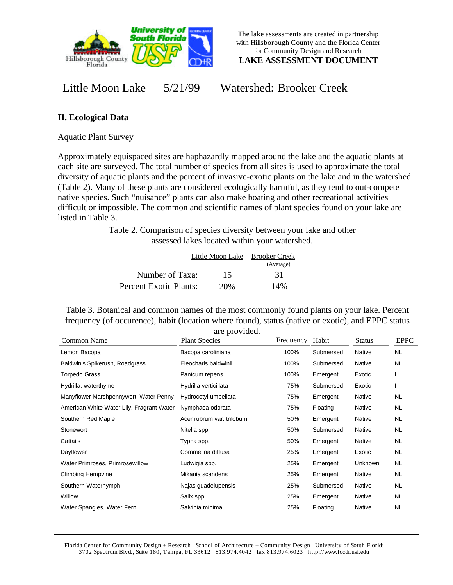

**LAKE ASSESSMENT DOCUMENT**

Little Moon Lake 5/21/99 Watershed: Brooker Creek

## **II. Ecological Data**

Aquatic Plant Survey

Approximately equispaced sites are haphazardly mapped around the lake and the aquatic plants at each site are surveyed. The total number of species from all sites is used to approximate the total diversity of aquatic plants and the percent of invasive-exotic plants on the lake and in the watershed (Table 2). Many of these plants are considered ecologically harmful, as they tend to out-compete native species. Such "nuisance" plants can also make boating and other recreational activities difficult or impossible. The common and scientific names of plant species found on your lake are listed in Table 3.

> Table 2. Comparison of species diversity between your lake and other assessed lakes located within your watershed.

|                        |     | Little Moon Lake Brooker Creek |  |
|------------------------|-----|--------------------------------|--|
|                        |     | (Average)                      |  |
| Number of Taxa:        | 15  | 31                             |  |
| Percent Exotic Plants: | 20% | 14%                            |  |

Table 3. Botanical and common names of the most commonly found plants on your lake. Percent frequency (of occurence), habit (location where found), status (native or exotic), and EPPC status are provided.

|                                           | are provided.             |           |           |               |             |
|-------------------------------------------|---------------------------|-----------|-----------|---------------|-------------|
| Common Name                               | <b>Plant Species</b>      | Frequency | Habit     | <b>Status</b> | <b>EPPC</b> |
| Lemon Bacopa                              | Bacopa caroliniana        | 100%      | Submersed | Native        | <b>NL</b>   |
| Baldwin's Spikerush, Roadgrass            | Eleocharis baldwinii      | 100%      | Submersed | Native        | <b>NL</b>   |
| Torpedo Grass                             | Panicum repens            | 100%      | Emergent  | Exotic        |             |
| Hydrilla, waterthyme                      | Hydrilla verticillata     | 75%       | Submersed | Exotic        |             |
| Manyflower Marshpennywort, Water Penny    | Hydrocotyl umbellata      | 75%       | Emergent  | Native        | <b>NL</b>   |
| American White Water Lily, Fragrant Water | Nymphaea odorata          | 75%       | Floating  | Native        | NL.         |
| Southern Red Maple                        | Acer rubrum var. trilobum | 50%       | Emergent  | Native        | <b>NL</b>   |
| Stonewort                                 | Nitella spp.              | 50%       | Submersed | Native        | NL.         |
| Cattails                                  | Typha spp.                | 50%       | Emergent  | Native        | <b>NL</b>   |
| Dayflower                                 | Commelina diffusa         | 25%       | Emergent  | Exotic        | <b>NL</b>   |
| Water Primroses, Primrosewillow           | Ludwigia spp.             | 25%       | Emergent  | Unknown       | NL.         |
| <b>Climbing Hempvine</b>                  | Mikania scandens          | 25%       | Emergent  | Native        | <b>NL</b>   |
| Southern Waternymph                       | Najas guadelupensis       | 25%       | Submersed | Native        | NL.         |
| Willow                                    | Salix spp.                | 25%       | Emergent  | Native        | <b>NL</b>   |
| Water Spangles, Water Fern                | Salvinia minima           | 25%       | Floating  | Native        | <b>NL</b>   |

Florida Center for Community Design + Research School of Architecture + Community Design University of South Florida 3702 Spectrum Blvd., Suite 180, Tampa, FL 33612 813.974.4042 fax 813.974.6023 http://www.fccdr.usf.edu